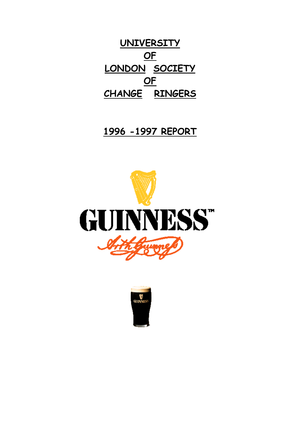**UNIVERSITY OF LONDON SOCIETY OF CHANGE RINGERS**

# **1996 -1997 REPORT**



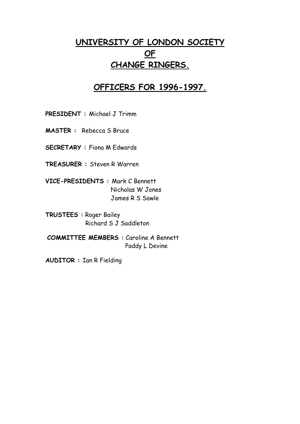## **UNIVERSITY OF LONDON SOCIETY OF CHANGE RINGERS.**

### **OFFICERS FOR 1996-1997.**

**PRESIDENT :** Michael J Trimm

**MASTER :** Rebecca S Bruce

**SECRETARY :** Fiona M Edwards

**TREASURER :** Steven R Warren

**VICE-PRESIDENTS :** Mark C Bennett Nicholas W Jones James R S Sawle

**TRUSTEES :** Roger Bailey Richard S J Saddleton

**COMMITTEE MEMBERS :** Caroline A Bennett Paddy L Devine

**AUDITOR :** Ian R Fielding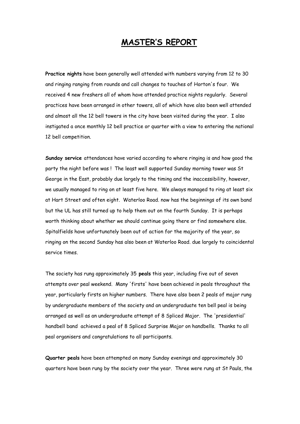### **MASTER'S REPORT**

**Practice nights** have been generally well attended with numbers varying from 12 to 30 and ringing ranging from rounds and call changes to touches of Horton's four. We received 4 new freshers all of whom have attended practice nights regularly. Several practices have been arranged in other towers, all of which have also been well attended and almost all the 12 bell towers in the city have been visited during the year. I also instigated a once monthly 12 bell practice or quarter with a view to entering the national 12 bell competition.

**Sunday service** attendances have varied according to where ringing is and how good the party the night before was ! The least well supported Sunday morning tower was St George in the East, probably due largely to the timing and the inaccessibility, however, we usually managed to ring on at least five here. We always managed to ring at least six at Hart Street and often eight. Waterloo Road. now has the beginnings of its own band but the UL has still turned up to help them out on the fourth Sunday. It is perhaps worth thinking about whether we should continue going there or find somewhere else. Spitalfields have unfortunately been out of action for the majority of the year, so ringing on the second Sunday has also been at Waterloo Road. due largely to coincidental service times.

The society has rung approximately 35 **peals** this year, including five out of seven attempts over peal weekend. Many 'firsts' have been achieved in peals throughout the year, particularly firsts on higher numbers. There have also been 2 peals of major rung by undergraduate members of the society and an undergraduate ten bell peal is being arranged as well as an undergraduate attempt of 8 Spliced Major. The 'presidential' handbell band achieved a peal of 8 Spliced Surprise Major on handbells. Thanks to all peal organisers and congratulations to all participants.

**Quarter peals** have been attempted on many Sunday evenings and approximately 30 quarters have been rung by the society over the year. Three were rung at St Pauls, the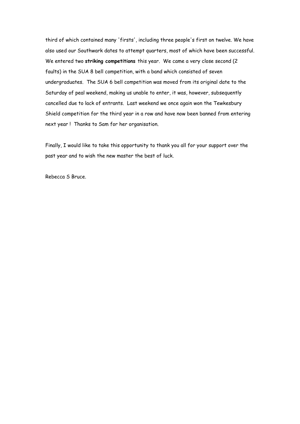third of which contained many 'firsts', including three people's first on twelve. We have also used our Southwark dates to attempt quarters, most of which have been successful. We entered two **striking competitions** this year. We came a very close second (2 faults) in the SUA 8 bell competition, with a band which consisted of seven undergraduates. The SUA 6 bell competition was moved from its original date to the Saturday of peal weekend, making us unable to enter, it was, however, subsequently cancelled due to lack of entrants. Last weekend we once again won the Tewkesbury Shield competition for the third year in a row and have now been banned from entering next year ! Thanks to Sam for her organisation.

Finally, I would like to take this opportunity to thank you all for your support over the past year and to wish the new master the best of luck.

Rebecca S Bruce.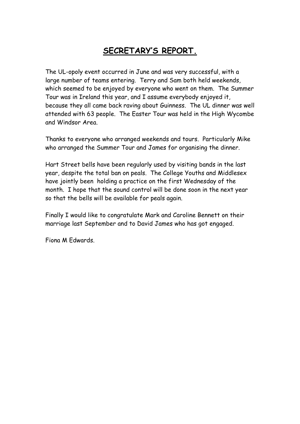# **SECRETARY'S REPORT.**

The UL-opoly event occurred in June and was very successful, with a large number of teams entering. Terry and Sam both held weekends, which seemed to be enjoyed by everyone who went on them. The Summer Tour was in Ireland this year, and I assume everybody enjoyed it, because they all came back raving about Guinness. The UL dinner was well attended with 63 people. The Easter Tour was held in the High Wycombe and Windsor Area.

Thanks to everyone who arranged weekends and tours. Particularly Mike who arranged the Summer Tour and James for organising the dinner.

Hart Street bells have been regularly used by visiting bands in the last year, despite the total ban on peals. The College Youths and Middlesex have jointly been holding a practice on the first Wednesday of the month. I hope that the sound control will be done soon in the next year so that the bells will be available for peals again.

Finally I would like to congratulate Mark and Caroline Bennett on their marriage last September and to David James who has got engaged.

Fiona M Edwards.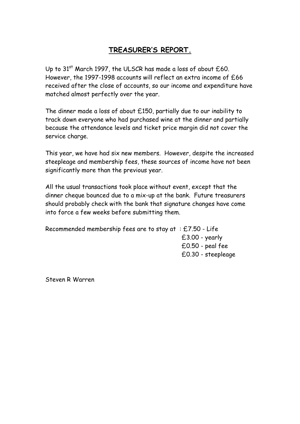### **TREASURER'S REPORT.**

Up to  $31<sup>st</sup>$  March 1997, the ULSCR has made a loss of about  $£60.$ However, the 1997-1998 accounts will reflect an extra income of £66 received after the close of accounts, so our income and expenditure have matched almost perfectly over the year.

The dinner made a loss of about £150, partially due to our inability to track down everyone who had purchased wine at the dinner and partially because the attendance levels and ticket price margin did not cover the service charge.

This year, we have had six new members. However, despite the increased steepleage and membership fees, these sources of income have not been significantly more than the previous year.

All the usual transactions took place without event, except that the dinner cheque bounced due to a mix-up at the bank. Future treasurers should probably check with the bank that signature changes have come into force a few weeks before submitting them.

Recommended membership fees are to stay at : £7.50 - Life £3.00 - yearly £0.50 - peal fee £0.30 - steepleage

Steven R Warren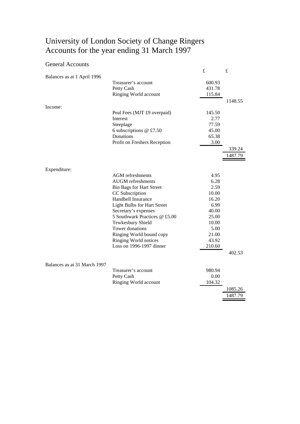### University of London Society of Change Ringers Accounts for the year ending 31 March 1997

#### General Accounts

|                              |                                    | £      | $\pounds$ |
|------------------------------|------------------------------------|--------|-----------|
| Balances as at 1 April 1996  |                                    |        |           |
|                              | Treasurer's account                | 600.93 |           |
|                              | Petty Cash                         | 431.78 |           |
|                              | Ringing World account              | 115.84 |           |
|                              |                                    |        | 1148.55   |
| Income:                      |                                    |        |           |
|                              | Peal Fees (MJT £9 overpaid)        | 145.50 |           |
|                              | Interest                           | 2.77   |           |
|                              | Steeplage                          | 77.59  |           |
|                              | 6 subscriptions @ £7.50            | 45.00  |           |
|                              | Donations                          | 65.38  |           |
|                              | Profit on Freshers Reception       | 3.00   |           |
|                              |                                    |        | 339.24    |
|                              |                                    |        | 1487.79   |
|                              |                                    |        |           |
| Expenditure:                 |                                    |        |           |
|                              | <b>AGM</b> refreshments            | 4.95   |           |
|                              | <b>AUGM</b> refreshments           | 6.28   |           |
|                              | <b>Bin Bags for Hart Street</b>    | 2.59   |           |
|                              | CC Subscription                    | 10.00  |           |
|                              | Handbell Insurance                 | 16.20  |           |
|                              | <b>Light Bulbs for Hart Street</b> | 6.99   |           |
|                              | Secretary's expenses               | 40.00  |           |
|                              | 5 Southwark Practices @ £5.00      | 25.00  |           |
|                              | Tewkesbury Shield                  | 10.00  |           |
|                              | Tower donations                    | 5.00   |           |
|                              | Ringing World bound copy           | 21.00  |           |
|                              | Ringing World notices              | 43.92  |           |
|                              | Loss on 1996-1997 dinner           | 210.60 |           |
|                              |                                    |        | 402.53    |
|                              |                                    |        |           |
| Balances as at 31 March 1997 |                                    |        |           |
|                              | Treasurer's account                | 980.94 |           |
|                              | Petty Cash                         | 0.00   |           |
|                              | Ringing World account              | 104.32 |           |
|                              |                                    |        | 1085.26   |
|                              |                                    |        | 1487.79   |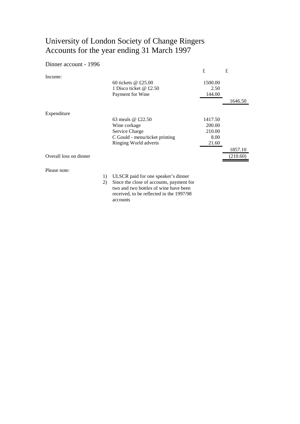### University of London Society of Change Ringers Accounts for the year ending 31 March 1997

#### Dinner account - 1996

|                        |                                | £       | £        |
|------------------------|--------------------------------|---------|----------|
| Income:                |                                |         |          |
|                        | 60 tickets $@$ £25.00          | 1500.00 |          |
|                        | 1 Disco ticket @ £2.50         | 2.50    |          |
|                        | Payment for Wine               | 144.00  |          |
|                        |                                |         | 1646.50  |
| Expenditure            |                                |         |          |
|                        | 63 meals $\omega$ £22.50       | 1417.50 |          |
|                        | Wine corkage                   | 200.00  |          |
|                        | Service Charge                 | 210.00  |          |
|                        | C Gould - menu/ticket printing | 8.00    |          |
|                        | Ringing World adverts          | 21.60   |          |
|                        |                                |         | 1857.10  |
| Overall loss on dinner |                                |         | (210.60) |
| Please note:           |                                |         |          |

1) ULSCR paid for one speaker's dinner

2) Since the close of accounts, payment for two and two bottles of wine have been received, to be reflected in the 1997/98 accounts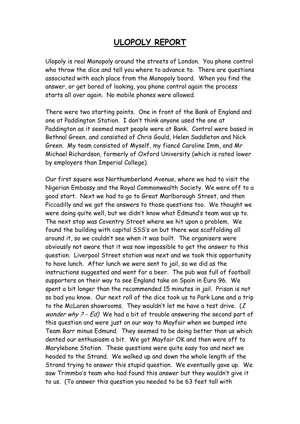### **ULOPOLY REPORT**

Ulopoly is real Monopoly around the streets of London. You phone control who throw the dice and tell you where to advance to. There are questions associated with each place from the Monopoly board. When you find the answer, or get bored of looking, you phone control again the process starts all over again. No mobile phones were allowed.

There were two starting points. One in front of the Bank of England and one at Paddington Station. I don't think anyone used the one at Paddington as it seemed most people were at Bank. Control were based in Bethnal Green, and consisted of Chris Gould, Helen Saddleton and Nick Green. My team consisted of Myself, my fiancé Caroline Imm, and Mr Michael Richardson, formerly of Oxford University (which is rated lower by employers than Imperial College).

Our first square was Northumberland Avenue, where we had to visit the Nigerian Embassy and the Royal Commonwealth Society. We were off to a good start. Next we had to go to Great Marlborough Street, and then Piccadilly and we got the answers to those questions too. We thought we were doing quite well, but we didn't know what Edmund's team was up to. The next stop was Coventry Street where we hit upon a problem. We found the building with capital SSS's on but there was scaffolding all around it, so we couldn't see when it was built. The organisers were obviously not aware that it was now impossible to get the answer to this question. Liverpool Street station was next and we took this opportunity to have lunch. After lunch we were sent to jail, so we did as the instructions suggested and went for a beer. The pub was full of football supporters on their way to see England take on Spain in Euro 96. We spent a bit longer than the recommended 15 minutes in jail. Prison is not so bad you know. Our next roll of the dice took us to Park Lane and a trip to the McLaren showrooms. They wouldn't let me have a test drive.  $(I$ wonder why ? - Ed) We had a bit of trouble answering the second part of this question and were just on our way to Mayfair when we bumped into Team Barr minus Edmund. They seemed to be doing better than us which dented our enthusiasm a bit. We got Mayfair OK and then were off to Marylebone Station. These questions were quite easy too and next we headed to the Strand. We walked up and down the whole length of the Strand trying to answer this stupid question. We eventually gave up. We saw Trimmbo's team who had found this answer but they wouldn't give it to us. (To answer this question you needed to be 63 feet tall with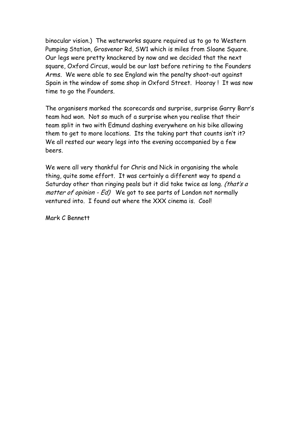binocular vision.) The waterworks square required us to go to Western Pumping Station, Grosvenor Rd, SW1 which is miles from Sloane Square. Our legs were pretty knackered by now and we decided that the next square, Oxford Circus, would be our last before retiring to the Founders Arms. We were able to see England win the penalty shoot-out against Spain in the window of some shop in Oxford Street. Hooray ! It was now time to go the Founders.

The organisers marked the scorecards and surprise, surprise Garry Barr's team had won. Not so much of a surprise when you realise that their team split in two with Edmund dashing everywhere on his bike allowing them to get to more locations. Its the taking part that counts isn't it? We all rested our weary legs into the evening accompanied by a few beers.

We were all very thankful for Chris and Nick in organising the whole thing, quite some effort. It was certainly a different way to spend a Saturday other than ringing peals but it did take twice as long. (that's a matter of opinion - Ed) We got to see parts of London not normally ventured into. I found out where the XXX cinema is. Cool!

Mark C Bennett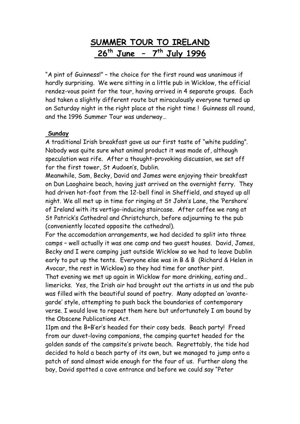## **SUMMER TOUR TO IRELAND 26th June – 7th July 1996**

"A pint of Guinness!" – the choice for the first round was unanimous if hardly surprising. We were sitting in a little pub in Wicklow, the official rendez-vous point for the tour, having arrived in 4 separate groups. Each had taken a slightly different route but miraculously everyone turned up on Saturday night in the right place at the right time ! Guinness all round, and the 1996 Summer Tour was underway…

### **Sunday**

A traditional Irish breakfast gave us our first taste of "white pudding". Nobody was quite sure what animal product it was made of, although speculation was rife. After a thought-provoking discussion, we set off for the first tower, St Audoen's, Dublin.

Meanwhile, Sam, Becky, David and James were enjoying their breakfast on Dun Laoghaire beach, having just arrived on the overnight ferry. They had driven hot-foot from the 12-bell final in Sheffield, and stayed up all night. We all met up in time for ringing at St John's Lane, the 'Pershore' of Ireland with its vertigo-inducing staircase. After coffee we rang at St Patrick's Cathedral and Christchurch, before adjourning to the pub (conveniently located opposite the cathedral).

For the accomodation arrangements, we had decided to split into three camps – well actually it was one camp and two guest houses. David, James, Becky and I were camping just outside Wicklow so we had to leave Dublin early to put up the tents. Everyone else was in B & B (Richard & Helen in Avocar, the rest in Wicklow) so they had time for another pint.

That evening we met up again in Wicklow for more drinking, eating and… limericks. Yes, the Irish air had brought out the artists in us and the pub was filled with the beautiful sound of poetry. Many adopted an 'avantegarde' style, attempting to push back the boundaries of contemporary verse. I would love to repeat them here but unfortunately I am bound by the Obscene Publications Act.

11pm and the B+B'er's headed for their cosy beds. Beach party! Freed from our duvet-loving companions, the camping quartet headed for the golden sands of the campsite's private beach. Regrettably, the tide had decided to hold a beach party of its own, but we managed to jump onto a patch of sand almost wide enough for the four of us. Further along the bay, David spotted a cave entrance and before we could say "Peter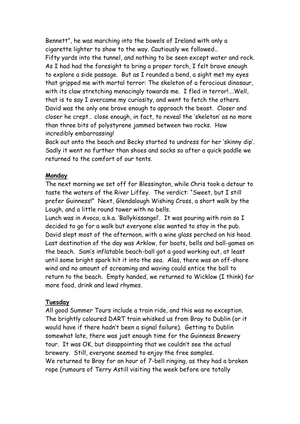Bennett", he was marching into the bowels of Ireland with only a cigarette lighter to show to the way. Cautiously we followed… Fifty yards into the tunnel, and nothing to be seen except water and rock. As I had had the foresight to bring a proper torch, I felt brave enough to explore a side passage. But as I rounded a bend, a sight met my eyes that gripped me with mortal terror: The skeleton of a ferocious dinosaur, with its claw stretching menacingly towards me. I fled in terror!.... Well, that is to say I overcame my curiosity, and went to fetch the others. David was the only one brave enough to approach the beast. Closer and closer he crept… close enough, in fact, to reveal the 'skeleton' as no more than three bits of polystyrene jammed between two rocks. How incredibly embarrassing!

Back out onto the beach and Becky started to undress for her 'skinny dip'. Sadly it went no further than shoes and socks so after a quick paddle we returned to the comfort of our tents.

### **Monday**

The next morning we set off for Blessington, while Chris took a detour to taste the waters of the River Liffey. The verdict: "Sweet, but I still prefer Guinness!" Next, Glendalough Wishing Cross, a short walk by the Lough, and a little round tower with no bells.

Lunch was in Avoca, a.k.a. 'Ballykissangel'. It was pouring with rain so I decided to go for a walk but everyone else wanted to stay in the pub. David slept most of the afternoon, with a wine glass perched on his head. Last destination of the day was Arklow, for boats, bells and ball-games on the beach. Sam's inflatable beach-ball got a good working out, at least until some bright spark hit it into the sea. Alas, there was an off-shore wind and no amount of screaming and waving could entice the ball to return to the beach. Empty handed, we returned to Wicklow (I think) for more food, drink and lewd rhymes.

#### **Tuesday**

All good Summer Tours include a train ride, and this was no exception. The brightly coloured DART train whisked us from Bray to Dublin (or it would have if there hadn't been a signal failure). Getting to Dublin somewhat late, there was just enough time for the Guinness Brewery tour. It was OK, but disappointing that we couldn't see the actual brewery. Still, everyone seemed to enjoy the free samples. We returned to Bray for an hour of 7-bell ringing, as they had a broken rope (rumours of Terry Astill visiting the week before are totally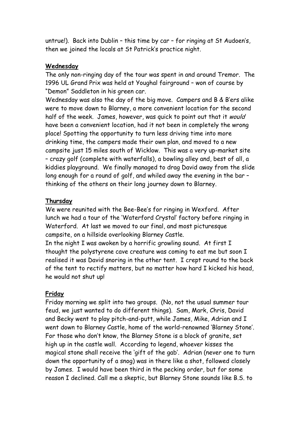untrue!). Back into Dublin – this time by car – for ringing at St Audoen's, then we joined the locals at St Patrick's practice night.

#### **Wednesday**

The only non-ringing day of the tour was spent in and around Tremor. The 1996 UL Grand Prix was held at Youghal fairground – won of course by "Demon" Saddleton in his green car.

Wednesday was also the day of the big move. Campers and B & B'ers alike were to move down to Blarney, a more convenient location for the second half of the week. James, however, was quick to point out that it would have been a convenient location, had it not been in completely the wrong place! Spotting the opportunity to turn less driving time into more drinking time, the campers made their own plan, and moved to a new campsite just 15 miles south of Wicklow. This was a very up-market site – crazy golf (complete with waterfalls), a bowling alley and, best of all, a kiddies playground. We finally managed to drag David away from the slide long enough for a round of golf, and whiled away the evening in the bar – thinking of the others on their long journey down to Blarney.

### **Thursday**

We were reunited with the Bee-Bee's for ringing in Wexford. After lunch we had a tour of the 'Waterford Crystal' factory before ringing in Waterford. At last we moved to our final, and most picturesque campsite, on a hillside overlooking Blarney Castle.

In the night I was awoken by a horrific growling sound. At first I thought the polystyrene cave creature was coming to eat me but soon I realised it was David snoring in the other tent. I crept round to the back of the tent to rectify matters, but no matter how hard I kicked his head, he would not shut up!

### **Friday**

Friday morning we split into two groups. (No, not the usual summer tour feud, we just wanted to do different things). Sam, Mark, Chris, David and Becky went to play pitch-and-putt, while James, Mike, Adrian and I went down to Blarney Castle, home of the world-renowned 'Blarney Stone'. For those who don't know, the Blarney Stone is a block of granite, set high up in the castle wall. According to legend, whoever kisses the magical stone shall receive the 'gift of the gab'. Adrian (never one to turn down the opportunity of a snog) was in there like a shot, followed closely by James. I would have been third in the pecking order, but for some reason I declined. Call me a skeptic, but Blarney Stone sounds like B.S. to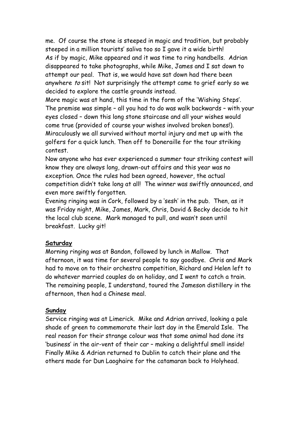me. Of course the stone is steeped in magic and tradition, but probably steeped in a million tourists' saliva too so I gave it a wide birth! As if by magic, Mike appeared and it was time to ring handbells. Adrian disappeared to take photographs, while Mike, James and I sat down to attempt our peal. That is, we would have sat down had there been anywhere to sit! Not surprisingly the attempt came to grief early so we decided to explore the castle grounds instead.

More magic was at hand, this time in the form of the 'Wishing Steps'. The premise was simple – all you had to do was walk backwards – with your eyes closed – down this long stone staircase and all your wishes would come true (provided of course your wishes involved broken bones!). Miraculously we all survived without mortal injury and met up with the golfers for a quick lunch. Then off to Doneraille for the tour striking contest.

Now anyone who has ever experienced a summer tour striking contest will know they are always long, drawn-out affairs and this year was no exception. Once the rules had been agreed, however, the actual competition didn't take long at all! The winner was swiftly announced, and even more swiftly forgotten.

Evening ringing was in Cork, followed by a 'sesh' in the pub. Then, as it was Friday night, Mike, James, Mark, Chris, David & Becky decide to hit the local club scene. Mark managed to pull, and wasn't seen until breakfast. Lucky git!

#### **Saturday**

Morning ringing was at Bandon, followed by lunch in Mallow. That afternoon, it was time for several people to say goodbye. Chris and Mark had to move on to their orchestra competition, Richard and Helen left to do whatever married couples do on holiday, and I went to catch a train. The remaining people, I understand, toured the Jameson distillery in the afternoon, then had a Chinese meal.

#### **Sunday**

Service ringing was at Limerick. Mike and Adrian arrived, looking a pale shade of green to commemorate their last day in the Emerald Isle. The real reason for their strange colour was that some animal had done its 'business' in the air-vent of their car – making a delightful smell inside! Finally Mike & Adrian returned to Dublin to catch their plane and the others made for Dun Laoghaire for the catamaran back to Holyhead.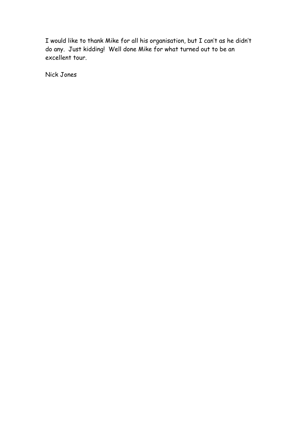I would like to thank Mike for all his organisation, but I can't as he didn't do any. Just kidding! Well done Mike for what turned out to be an excellent tour.

Nick Jones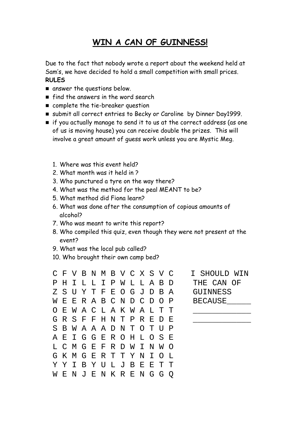### **WIN A CAN OF GUINNESS!**

Due to the fact that nobody wrote a report about the weekend held at Sam's, we have decided to hold a small competition with small prices. **RULES**

- **n** answer the questions below.
- **Find the answers in the word search**
- complete the tie-breaker question
- submit all correct entries to Becky or Caroline by Dinner Day1999.
- if you actually manage to send it to us at the correct address (as one of us is moving house) you can receive double the prizes. This will involve a great amount of guess work unless you are Mystic Meg.
	- 1. Where was this event held?
	- 2. What month was it held in ?
	- 3. Who punctured a tyre on the way there?
	- 4. What was the method for the peal MEANT to be?
	- 5. What method did Fiona learn?
	- 6. What was done after the consumption of copious amounts of alcohol?
	- 7. Who was meant to write this report?
	- 8. Who compiled this quiz, even though they were not present at the event?
	- 9. What was the local pub called?
	- 10. Who brought their own camp bed?

C F V B N M B V C X S V C I SHOULD WIN P H I L L I P W L L A B D THE CAN OF Z S U Y T F E O G J D B A GUINNESS W E E R A B C N D C D O P BECAUSE O E W A C L A K W A L T T G R S F F H N T P R E D E S B W A A A D N T O T U P A E I G G E R O H L O S E L C M G E F R D W I N W O G K M G E R T T Y N I O L Y Y I B Y U L J B E E T T W E N J E N K R E N G G Q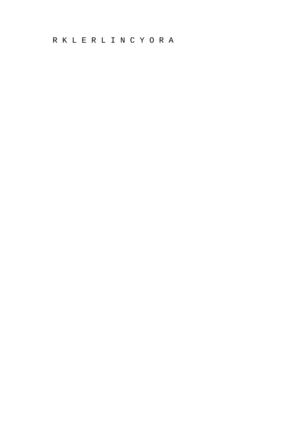R K L E R L I N C Y O R A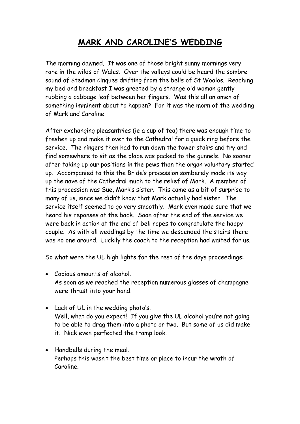# **MARK AND CAROLINE'S WEDDING**

The morning dawned. It was one of those bright sunny mornings very rare in the wilds of Wales. Over the valleys could be heard the sombre sound of Stedman Cinques drifting from the bells of St Woolos. Reaching my bed and breakfast I was greeted by a strange old woman gently rubbing a cabbage leaf between her fingers. Was this all an omen of something imminent about to happen? For it was the morn of the wedding of Mark and Caroline.

After exchanging pleasantries (ie a cup of tea) there was enough time to freshen up and make it over to the Cathedral for a quick ring before the service. The ringers then had to run down the tower stairs and try and find somewhere to sit as the place was packed to the gunnels. No sooner after taking up our positions in the pews than the organ voluntary started up. Accompanied to this the Bride's procession somberely made its way up the nave of the Cathedral much to the relief of Mark. A member of this procession was Sue, Mark's sister. This came as a bit of surprise to many of us, since we didn't know that Mark actually had sister. The service itself seemed to go very smoothly. Mark even made sure that we heard his reponses at the back. Soon after the end of the service we were back in action at the end of bell ropes to congratulate the happy couple. As with all weddings by the time we descended the stairs there was no one around. Luckily the coach to the reception had waited for us.

So what were the UL high lights for the rest of the days proceedings:

- Copious amounts of alcohol. As soon as we reached the reception numerous glasses of champagne were thrust into your hand.
- Lack of UL in the wedding photo's. Well, what do you expect! If you give the UL alcohol you're not going to be able to drag them into a photo or two. But some of us did make it. Nick even perfected the tramp look.
- Handbells during the meal. Perhaps this wasn't the best time or place to incur the wrath of Caroline.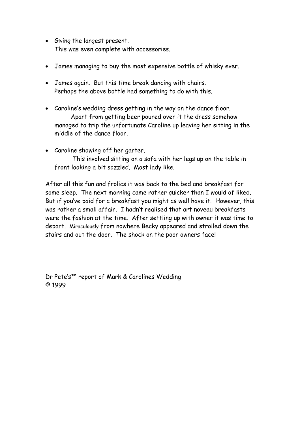- Giving the largest present. This was even complete with accessories.
- James managing to buy the most expensive bottle of whisky ever.
- James again. But this time break dancing with chairs. Perhaps the above bottle had something to do with this.
- Caroline's wedding dress getting in the way on the dance floor. Apart from getting beer poured over it the dress somehow managed to trip the unfortunate Caroline up leaving her sitting in the middle of the dance floor.
- Caroline showing off her garter.

 This involved sitting on a sofa with her legs up on the table in front looking a bit sozzled. Most lady like.

After all this fun and frolics it was back to the bed and breakfast for some sleep. The next morning came rather quicker than I would of liked. But if you've paid for a breakfast you might as well have it. However, this was rather a small affair. I hadn't realised that art noveau breakfasts were the fashion at the time. After settling up with owner it was time to depart. Miraculously from nowhere Becky appeared and strolled down the stairs and out the door. The shock on the poor owners face!

Dr Pete's™ report of Mark & Carolines Wedding © 1999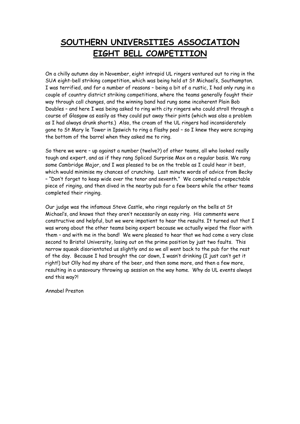# **SOUTHERN UNIVERSITIES ASSOCIATION EIGHT BELL COMPETITION**

On a chilly autumn day in November, eight intrepid UL ringers ventured out to ring in the SUA eight-bell striking competition, which was being held at St Michael's, Southampton. I was terrified, and for a number of reasons – being a bit of a rustic, I had only rung in a couple of country district striking competitions, where the teams generally fought their way through call changes, and the winning band had rung some incoherent Plain Bob Doubles – and here I was being asked to ring with city ringers who could stroll through a course of Glasgow as easily as they could put away their pints (which was also a problem as I had always drunk shorts.) Also, the cream of the UL ringers had inconsiderately gone to St Mary le Tower in Ipswich to ring a flashy peal – so I knew they were scraping the bottom of the barrel when they asked me to ring.

So there we were – up against a number (twelve?) of other teams, all who looked really tough and expert, and as if they rang Spliced Surprise Max on a regular basis. We rang some Cambridge Major, and I was pleased to be on the treble as I could hear it best, which would minimise my chances of crunching. Last minute words of advice from Becky – "Don't forget to keep wide over the tenor and seventh." We completed a respectable piece of ringing, and then dived in the nearby pub for a few beers while the other teams completed their ringing.

Our judge was the infamous Steve Castle, who rings regularly on the bells at St Michael's, and knows that they aren't necessarily an easy ring. His comments were constructive and helpful, but we were impatient to hear the results. It turned out that I was wrong about the other teams being expert because we actually wiped the floor with them – and with me in the band! We were pleased to hear that we had come a very close second to Bristol University, losing out on the prime position by just two faults. This narrow squeak disorientated us slightly and so we all went back to the pub for the rest of the day. Because I had brought the car down, I wasn't drinking (I just can't get it right!) but Olly had my share of the beer, and then some more, and then a few more, resulting in a unsavoury throwing up session on the way home. Why do UL events always end this way?!

Annabel Preston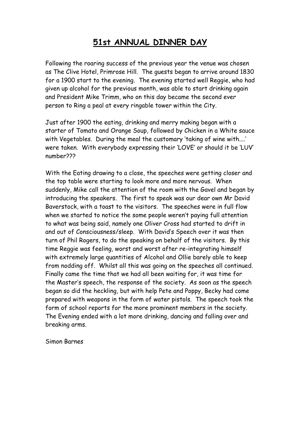## **51st ANNUAL DINNER DAY**

Following the roaring success of the previous year the venue was chosen as The Clive Hotel, Primrose Hill. The guests began to arrive around 1830 for a 1900 start to the evening. The evening started well Reggie, who had given up alcohol for the previous month, was able to start drinking again and President Mike Trimm, who on this day became the second ever person to Ring a peal at every ringable tower within the City.

Just after 1900 the eating, drinking and merry making began with a starter of Tomato and Orange Soup, followed by Chicken in a White sauce with Vegetables. During the meal the customary 'taking of wine with....' were taken. With everybody expressing their 'LOVE' or should it be 'LUV' number???

With the Eating drawing to a close, the speeches were getting closer and the top table were starting to look more and more nervous. When suddenly, Mike call the attention of the room with the Gavel and began by introducing the speakers. The first to speak was our dear own Mr David Baverstock, with a toast to the visitors. The speeches were in full flow when we started to notice the some people weren't paying full attention to what was being said, namely one Oliver Cross had started to drift in and out of Consciousness/sleep. With David's Speech over it was then turn of Phil Rogers, to do the speaking on behalf of the visitors. By this time Reggie was feeling, worst and worst after re-integrating himself with extremely large quantities of Alcohol and Ollie barely able to keep from nodding off. Whilst all this was going on the speeches all continued. Finally came the time that we had all been waiting for, it was time for the Master's speech, the response of the society. As soon as the speech began so did the heckling, but with help Pete and Poppy, Becky had come prepared with weapons in the form of water pistols. The speech took the form of school reports for the more prominent members in the society. The Evening ended with a lot more drinking, dancing and falling over and breaking arms.

Simon Barnes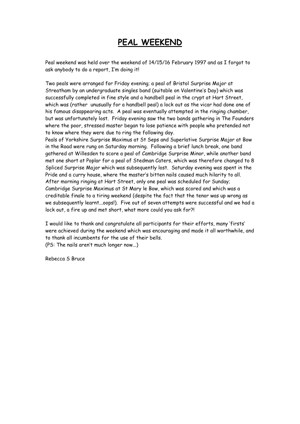### **PEAL WEEKEND**

Peal weekend was held over the weekend of 14/15/16 February 1997 and as I forgot to ask anybody to do a report, I'm doing it!

Two peals were arranged for Friday evening; a peal of Bristol Surprise Major at Streatham by an undergraduate singles band (suitable on Valentine's Day) which was successfully completed in fine style and a handbell peal in the crypt at Hart Street, which was (rather unusually for a handbell peal) a lock out as the vicar had done one of his famous disappearing acts. A peal was eventually attempted in the ringing chamber, but was unfortunately lost. Friday evening saw the two bands gathering in The Founders where the poor, stressed master began to lose patience with people who pretended not to know where they were due to ring the following day.

Peals of Yorkshire Surprise Maximus at St Seps and Superlative Surprise Major at Bow in the Road were rung on Saturday morning. Following a brief lunch break, one band gathered at Willesden to score a peal of Cambridge Surprise Minor, while another band met one short at Poplar for a peal of Stedman Caters, which was therefore changed to 8 Spliced Surprise Major which was subsequently lost. Saturday evening was spent in the Pride and a curry house, where the master's bitten nails caused much hilarity to all. After morning ringing at Hart Street, only one peal was scheduled for Sunday; Cambridge Surprise Maximus at St Mary le Bow, which was scored and which was a creditable finale to a tiring weekend (despite the fact that the tenor was up wrong as we subsequently learnt...oops!). Five out of seven attempts were successful and we had a lock out, a fire up and met short, what more could you ask for?!

I would like to thank and congratulate all participants for their efforts, many 'firsts' were achieved during the weekend which was encouraging and made it all worthwhile, and to thank all incumbents for the use of their bells. (PS: The nails aren't much longer now...)

Rebecca S Bruce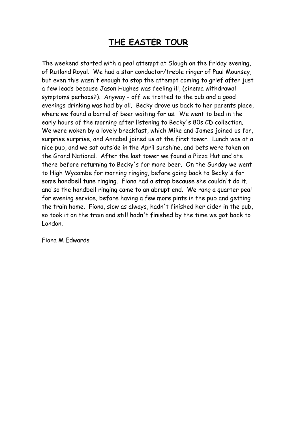### **THE EASTER TOUR**

The weekend started with a peal attempt at Slough on the Friday evening, of Rutland Royal. We had a star conductor/treble ringer of Paul Mounsey, but even this wasn't enough to stop the attempt coming to grief after just a few leads because Jason Hughes was feeling ill, (cinema withdrawal symptoms perhaps?). Anyway - off we trotted to the pub and a good evenings drinking was had by all. Becky drove us back to her parents place, where we found a barrel of beer waiting for us. We went to bed in the early hours of the morning after listening to Becky's 80s CD collection. We were woken by a lovely breakfast, which Mike and James joined us for, surprise surprise, and Annabel joined us at the first tower. Lunch was at a nice pub, and we sat outside in the April sunshine, and bets were taken on the Grand National. After the last tower we found a Pizza Hut and ate there before returning to Becky's for more beer. On the Sunday we went to High Wycombe for morning ringing, before going back to Becky's for some handbell tune ringing. Fiona had a strop because she couldn't do it, and so the handbell ringing came to an abrupt end. We rang a quarter peal for evening service, before having a few more pints in the pub and getting the train home. Fiona, slow as always, hadn't finished her cider in the pub, so took it on the train and still hadn't finished by the time we got back to London.

Fiona M Edwards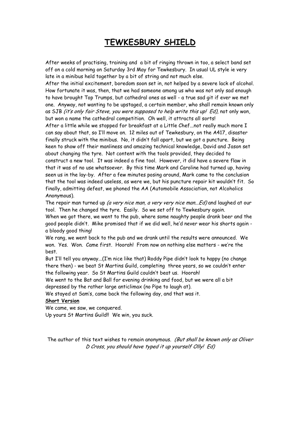### **TEWKESBURY SHIELD**

After weeks of practising, training and a bit of ringing thrown in too, a select band set off on a cold morning on Saturday 3rd May for Tewkesbury. In usual UL style ie very late in a minibus held together by a bit of string and not much else.

After the initial excitement, boredom soon set in, not helped by a severe lack of alcohol. How fortunate it was, then, that we had someone among us who was not only sad enough to have brought Top Trumps, but cathedral ones as well - a true sad git if ever we met one. Anyway, not wanting to be upstaged, a certain member, who shall remain known only as SJB (it's only fair Steve, you were supposed to help write this up! Ed), not only won, but won a name the cathedral competition. Oh well, it attracts all sorts!

After a little while we stopped for breakfast at a Little Chef...not really much more I can say about that, so I'll move on. 12 miles out of Tewkesbury, on the A417, disaster finally struck with the minibus. No, it didn't fall apart, but we got a puncture. Being keen to show off their manliness and amazing technical knowledge, David and Jason set about changing the tyre. Not content with the tools provided, they decided to construct a new tool. It was indeed a fine tool. However, it did have a severe flaw in that it was of no use whatsoever. By this time Mark and Caroline had turned up, having seen us in the lay-by. After a few minutes posing around, Mark came to the conclusion that the tool was indeed useless, as were we, but his puncture repair kit wouldn't fit. So finally, admitting defeat, we phoned the AA (Automobile Association, not Alcoholics Anonymous).

The repair man turned up (a very nice man, a very very nice man...Ed) and laughed at our tool. Then he changed the tyre. Easily. So we set off to Tewkesbury again.

When we got there, we went to the pub, where some naughty people drank beer and the good people didn't. Mike promised that if we did well, he'd never wear his shorts again a bloody good thing!

We rang, we went back to the pub and we drank until the results were announced. We won. Yes. Won. Came first. Hoorah! From now on nothing else matters - we're the best.

But I'll tell you anyway...(I'm nice like that) Roddy Pipe didn't look to happy (no change there then) - we beat St Martins Guild, completing three years, so we couldn't enter the following year. So St Martins Guild couldn't beat us. Hoorah!

We went to the Bat and Ball for evening drinking and food, but we were all a bit depressed by the rather large anticlimax (no Pipe to laugh at).

We stayed at Sam's, came back the following day, and that was it.

#### **Short Version**

We came, we saw, we conquered.

Up yours St Martins Guild!! We win, you suck.

The author of this text wishes to remain anonymous. (But shall be known only as Oliver D Cross, you should have typed it up yourself Olly! Ed)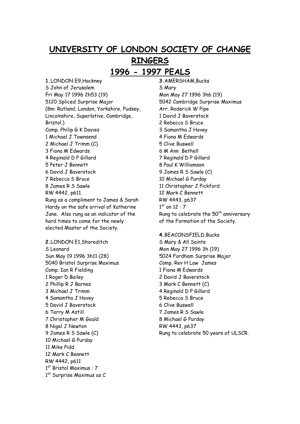# **UNIVERSITY OF LONDON SOCIETY OF CHANGE RINGERS 1996 - 1997 PEALS**

**1.**LONDON E9,Hackney S John of Jerusalem Fri May 17 1996 2h53 (19) 5120 Spliced Surprise Major (8m: Rutland, London, Yorkshire, Pudsey, Lincolnshire, Superlative, Cambridge, Bristol.) Comp. Philip G K Davies 1 Michael J Townsend 2 Michael J Trimm (C) 3 Fiona M Edwards 4 Reginald D P Gillard 5 Peter J Bennett 6 David J Baverstock 7 Rebecca S Bruce 8 James R S Sawle RW 4442, p611. Rung as a compliment to James & Sarah Hardy on the safe arrival of Katherine Jane. Also rung as an indicator of the hard times to come for the newly elected Master of the Society.

**2.**LONDON E1,Shoreditch S Leonard Sun May 19 1996 3h11 (28) 5040 Bristol Surprise Maximus Comp. Ian R Fielding 1 Roger D Bailey 2 Phillip R J Barnes 3 Michael J Trimm 4 Samantha J Hovey 5 David J Baverstock 6 Terry M Astill 7 Christopher M Gould 8 Nigel J Newton 9 James R S Sawle (C) 10 Michael G Purday 11 Mike Pidd 12 Mark C Bennett RW 4442, p611 1st Bristol Maximus : 7  $1<sup>st</sup>$  Surprise Maximus as C

**3.**AMERSHAM,Bucks S Mary Mon May 27 1996 3h6 (19) 5042 Cambridge Surprise Maximus Arr. Roderick W Pipe 1 David J Baverstock 2 Rebecca S Bruce 3 Samantha J Hovey 4 Fiona M Edwards 5 Clive Buswell 6 M Ann Bethell 7 Reginald D P Gillard 8 Paul K Williamson 9 James R S Sawle (C) 10 Michael G Purday 11 Christopher J Pickford 12 Mark C Bennett RW 4443, p637  $1<sup>st</sup>$  on 12 : 7 Rung to celebrate the  $50<sup>th</sup>$  anniversary of the Formation of the Society.

**4.**BEACONSFIELD,Bucks S Mary & All Saints Mon May 27 1996 3h (19) 5024 Fordham Surprise Major Comp. Rev H Law James 1 Fiona M Edwards 2 David J Baverstock 3 Mark C Bennett (C) 4 Reginald D P Gillard 5 Rebecca S Bruce 6 Clive Buswell 7 James R S Sawle 8 Michael G Purday RW 4443, p637 Rung to celebrate 50 years of ULSCR.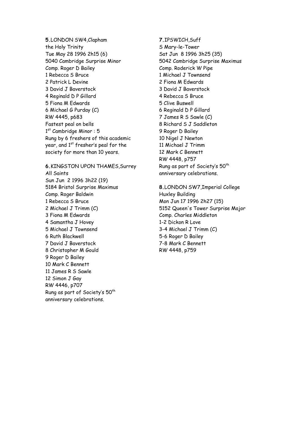**5.**LONDON SW4,Clapham the Holy Trinity Tue May 28 1996 2h15 (6) 5040 Cambridge Surprise Minor Comp. Roger D Bailey 1 Rebecca S Bruce 2 Patrick L Devine 3 David J Baverstock 4 Reginald D P Gillard 5 Fiona M Edwards 6 Michael G Purday (C) RW 4445, p683 Fastest peal on bells  $1<sup>st</sup>$  Cambridge Minor : 5 Rung by 6 freshers of this academic year, and  $1<sup>st</sup>$  fresher's peal for the society for more than 10 years.

**6.**KINGSTON UPON THAMES,Surrey All Saints Sun Jun 2 1996 3h22 (19) 5184 Bristol Surprise Maximus Comp. Roger Baldwin 1 Rebecca S Bruce 2 Michael J Trimm (C) 3 Fiona M Edwards 4 Samantha J Hovey 5 Michael J Townsend 6 Ruth Blackwell 7 David J Baverstock 8 Christopher M Gould 9 Roger D Bailey 10 Mark C Bennett 11 James R S Sawle 12 Simon J Gay RW 4446, p707 Rung as part of Society's 50th anniversary celebrations.

**7.**IPSWICH,Suff S Mary-le-Tower Sat Jun 8 1996 3h25 (35) 5042 Cambridge Surprise Maximus Comp. Roderick W Pipe 1 Michael J Townsend 2 Fiona M Edwards 3 David J Baverstock 4 Rebecca S Bruce 5 Clive Buswell 6 Reginald D P Gillard 7 James R S Sawle (C) 8 Richard S J Saddleton 9 Roger D Bailey 10 Nigel J Newton 11 Michael J Trimm 12 Mark C Bennett RW 4448, p757 Rung as part of Society's 50<sup>th</sup> anniversary celebrations.

**8.**LONDON SW7,Imperial College Huxley Building Mon Jun 17 1996 2h27 (15) 5152 Queen's Tower Surprise Major Comp. Charles Middleton 1-2 Dickon R Love 3-4 Michael J Trimm (C) 5-6 Roger D Bailey 7-8 Mark C Bennett RW 4448, p759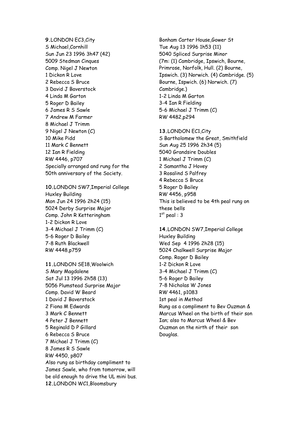**9.**LONDON EC3,City S Michael,Cornhill Sun Jun 23 1996 3h47 (42) 5009 Stedman Cinques Comp. Nigel J Newton 1 Dickon R Love 2 Rebecca S Bruce 3 David J Baverstock 4 Linda M Garton 5 Roger D Bailey 6 James R S Sawle 7 Andrew M Farmer 8 Michael J Trimm 9 Nigel J Newton (C) 10 Mike Pidd 11 Mark C Bennett 12 Ian R Fielding RW 4446, p707 Specially arranged and rung for the 50th anniversary of the Society.

**10.**LONDON SW7,Imperial College Huxley Building Mon Jun 24 1996 2h24 (15) 5024 Derby Surprise Major Comp. John R Ketteringham 1-2 Dickon R Love 3-4 Michael J Trimm (C) 5-6 Roger D Bailey 7-8 Ruth Blackwell RW 4448,p759

**11.**LONDON SE18,Woolwich S Mary Magdalene Sat Jul 13 1996 2h58 (13) 5056 Plumstead Surprise Major Comp. David W Beard 1 David J Baverstock 2 Fiona M Edwards 3 Mark C Bennett 4 Peter J Bennett 5 Reginald D P Gillard 6 Rebecca S Bruce 7 Michael J Trimm (C) 8 James R S Sawle RW 4450, p807 Also rung as birthday compliment to James Sawle, who from tomorrow, will be old enough to drive the UL mini bus. **12.**LONDON WC1,Bloomsbury

Bonham Carter House,Gower St Tue Aug 13 1996 1h53 (11) 5040 Spliced Surprise Minor (7m: (1) Cambridge, Ipswich, Bourne, Primrose, Norfolk, Hull. (2) Bourne, Ipswich. (3) Norwich. (4) Cambridge. (5) Bourne, Ispwich. (6) Norwich. (7) Cambridge.) 1-2 Linda M Garton 3-4 Ian R Fielding 5-6 Michael J Trimm (C) RW 4482,p294

**13.**LONDON EC1,City S Bartholomew the Great, Smithfield Sun Aug 25 1996 2h34 (5) 5040 Grandsire Doubles 1 Michael J Trimm (C) 2 Samantha J Hovey 3 Rosalind S Palfrey 4 Rebecca S Bruce 5 Roger D Bailey RW 4456, p958 This is believed to be 4th peal rung on these bells  $1<sup>st</sup>$  peal : 3

**14.**LONDON SW7,Imperial College Huxley Building Wed Sep 4 1996 2h28 (15) 5024 Chalkwell Surprise Major Comp. Roger D Bailey 1-2 Dickon R Love 3-4 Michael J Trimm (C) 5-6 Roger D Bailey 7-8 Nicholas W Jones RW 4461, p1083 1st peal in Method Rung as a compliment to Bev Ouzman & Marcus Wheel on the birth of their son Ian; also to Marcus Wheel & Bev Ouzman on the nirth of their son Douglas.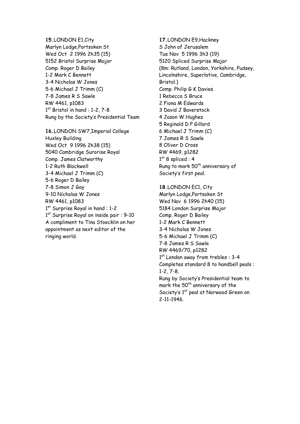**15.**LONDON E1,City Marlyn Lodge,Portsoken St Wed Oct 2 1996 2h35 (15) 5152 Bristol Surprise Major Comp. Roger D Bailey 1-2 Mark C Bennett 3-4 Nicholas W Jones 5-6 Michael J Trimm (C) 7-8 James R S Sawle RW 4461, p1083  $1<sup>st</sup>$  Bristol in hand : 1-2, 7-8 Rung by the Society's Presidential Team

**16.**LONDON SW7,Imperial College Huxley Building Wed Oct 9 1996 2h38 (15) 5040 Cambridge Surorise Royal Comp. James Clatworthy 1-2 Ruth Blackwell 3-4 Michael J Trimm (C) 5-6 Roger D Bailey 7-8 Simon J Gay 9-10 Nicholas W Jones RW 4461, p1083 1<sup>st</sup> Surprise Royal in hand : 1-2 1<sup>st</sup> Surprise Royal on inside pair : 9-10 A compliment to Tina Stoecklin on her appointment as next editor of the ringing world.

**17.**LONDON E9,Hackney S John of Jerusalem Tue Nov 5 1996 3h3 (19) 5120 Spliced Surprise Major (8m: Rutland, London, Yorkshire, Pudsey, Lincolnshire, Superlative, Cambridge, Bristol.) Comp. Philip G K Davies 1 Rebecca S Bruce 2 Fiona M Edwards 3 David J Baverstock 4 Jason W Hughes 5 Reginald D P Gillard 6 Michael J Trimm (C) 7 James R S Sawle 8 Oliver D Cross RW 4469, p1282  $1<sup>st</sup>$  8 spliced : 4 Rung to mark 50<sup>th</sup> anniversary of Society's first peal.

**18.**LONDON EC1, City Marlyn Lodge,Portsoken St Wed Nov 6 1996 2h40 (15) 5184 London Surprise Major Comp. Roger D Bailey 1-2 Mark C Bennett 3-4 Nicholas W Jones 5-6 Michael J Trimm (C) 7-8 James R S Sawle RW 4469/70, p1282 1<sup>st</sup> London away from trebles : 3-4 Completes standard 8 to handbell peals : 1-2, 7-8. Rung by Society's Presidential team to mark the 50<sup>th</sup> anniversary of the Society's 1<sup>st</sup> peal at Norwood Green on

2-11-1946.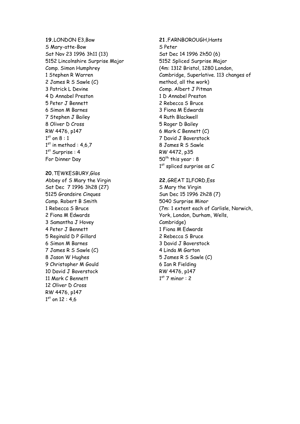**19.**LONDON E3,Bow S Mary-atte-Bow Sat Nov 23 1996 3h11 (13) 5152 Lincolnshire Surprise Major Comp. Simon Humphrey 1 Stephen R Warren 2 James R S Sawle (C) 3 Patrick L Devine 4 D Annabel Preston 5 Peter J Bennett 6 Simon M Barnes 7 Stephen J Bailey 8 Oliver D Cross RW 4476, p147  $1<sup>st</sup>$  on  $8:1$  $1<sup>st</sup>$  in method : 4,6,7 1st Surprise : 4 For Dinner Day

**20.**TEWKESBURY,Glos Abbey of S Mary the Virgin Sat Dec 7 1996 3h28 (27) 5125 Grandsire Cinques Comp. Robert B Smith 1 Rebecca S Bruce 2 Fiona M Edwards 3 Samantha J Hovey 4 Peter J Bennett 5 Reginald D P Gillard 6 Simon M Barnes 7 James R S Sawle (C) 8 Jason W Hughes 9 Christopher M Gould 10 David J Baverstock 11 Mark C Bennett 12 Oliver D Cross RW 4476, p147  $1<sup>st</sup>$  on 12 : 4.6

**21.**FARNBOROUGH,Hants S Peter Sat Dec 14 1996 2h50 (6) 5152 Spliced Surprise Major (4m: 1312 Bristol, 1280 London, Cambridge, Superlative. 113 changes of method, all the work) Comp. Albert J Pitman 1 D Annabel Preston 2 Rebecca S Bruce 3 Fiona M Edwards 4 Ruth Blackwell 5 Roger D Bailey 6 Mark C Bennett (C) 7 David J Baverstock 8 James R S Sawle RW 4472, p35  $50<sup>th</sup>$  this year : 8  $1<sup>st</sup>$  spliced surprise as C

#### **22.**GREAT ILFORD,Ess

S Mary the Virgin Sun Dec 15 1996 2h28 (7) 5040 Surprise Minor (7m: 1 extent each of Carlisle, Norwich, York, London, Durham, Wells, Cambridge) 1 Fiona M Edwards 2 Rebecca S Bruce 3 David J Baverstock 4 Linda M Garton 5 James R S Sawle (C) 6 Ian R Fielding RW 4476, p147  $1<sup>st</sup>$  7 minor : 2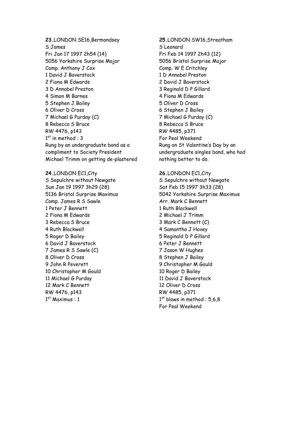**23.**LONDON SE16,Bermondsey S James Fri Jan 17 1997 2h54 (14) 5056 Yorkshire Surprise Major Comp. Anthony J Cox 1 David J Baverstock 2 Fiona M Edwards 3 D Annabel Preston 4 Simon M Barnes 5 Stephen J Bailey 6 Oliver D Cross 7 Michael G Purday (C) 8 Rebecca S Bruce RW 4476, p143  $1<sup>st</sup>$  in method : 3 Rung by an undergraduate band as a compliment to Society President Michael Trimm on getting de-plastered

**24.**LONDON EC1,City S Sepulchre without Newgate Sun Jan 19 1997 3h29 (28) 5136 Bristol Surprise Maximus Comp. James R S Sawle 1 Peter J Bennett 2 Fiona M Edwards 3 Rebecca S Bruce 4 Ruth Blackwell 5 Roger D Bailey 6 David J Baverstock 7 James R S Sawle (C) 8 Oliver D Cross 9 John R Peverett 10 Christopher M Gould 11 Michael G Purday 12 Mark C Bennett RW 4476, p143  $1<sup>st</sup>$  Maximus : 1

**25.**LONDON SW16,Streatham S Leonard Fri Feb 14 1997 2h43 (12) 5056 Bristol Surprise Major Comp. W E Critchley 1 D Annabel Preston 2 David J Baverstock 3 Reginald D P Gillard 4 Fiona M Edwards 5 Oliver D Cross 6 Stephen J Bailey 7 Michael G Purday (C) 8 Rebecca S Bruce RW 4485, p371 For Peal Weekend Rung on St Valentine's Day by an undergraduate singles band, who had nothing better to do.

**26.**LONDON EC1,City S Sepulchre without Newgate Sat Feb 15 1997 3h33 (28) 5042 Yorkshire Surprise Maximus Arr. Mark C Bennett 1 Ruth Blackwell 2 Michael J Trimm 3 Mark C Bennett (C) 4 Samantha J Hovey 5 Reginald D P Gillard 6 Peter J Bennett 7 Jason W Hughes 8 Stephen J Bailey 9 Christopher M Gould 10 Roger D Bailey 11 David J Baverstock 12 Oliver D Cross RW 4485, p371  $1<sup>st</sup>$  blows in method : 5.6.8 For Peal Weekend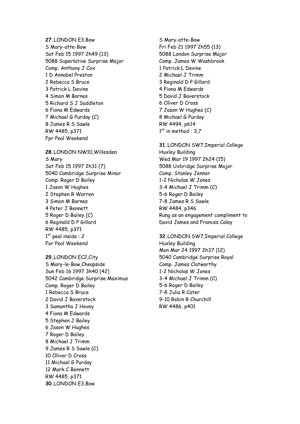**27.**LONDON E3,Bow S Mary-atte-Bow Sat Feb 15 1997 2h49 (13) 5088 Superlative Surprise Major Comp. Anthony J Cox 1 D Annabel Preston 2 Rebecca S Bruce 3 Patrick L Devine 4 Simon M Barnes 5 Richard S J Saddleton 6 Fiona M Edwards 7 Michael G Purday (C) 8 James R S Sawle RW 4485, p371 Fpr Peal Weekend

**28.**LONDON NW10,Willesden S Mary Sat Feb 15 1997 2h31 (7) 5040 Cambridge Surprise Minor Comp. Roger D Bailey 1 Jason W Hughes 2 Stephen R Warren 3 Simon M Barnes 4 Peter J Bennett 5 Roger D Bailey (C) 6 Reginald D P Gillard RW 4485, p371  $1<sup>st</sup>$  peal inside : 2 For Peal Weekend

**29.**LONDON EC2,City S Mary-le-Bow,Cheapside Sun Feb 16 1997 3h40 (42) 5042 Cambridge Surprise Maximus Comp. Roger D Bailey 1 Rebecca S Bruce 2 David J Baverstock 3 Samantha J Hovey 4 Fiona M Edwards 5 Stephen J Bailey 6 Jason W Hughes 7 Roger D Bailey 8 Michael J Trimm 9 James R S Sawle (C) 10 Oliver D Cross 11 Michael G Purday 12 Mark C Bennett RW 4485, p371 **30.**LONDON E3,Bow

S Mary-atte-Bow Fri Feb 21 1997 2h55 (13) 5088 London Surprise Major Comp. James W Washbrook 1 Patrick L Devine 2 Michael J Trimm 3 Reginald D P Gillard 4 Fiona M Edwards 5 David J Baverstock 6 Oliver D Cross 7 Jason W Hughes (C) 8 Michael G Purday RW 4494, p614  $1<sup>st</sup>$  in method : 3.7

**31.**LONDON SW7,Imperial College Huxley Building Wed Mar 19 1997 2h24 (15) 5088 Uxbridge Surprise Major Comp. Stanley Jenner 1-2 Nicholas W Jones 3-4 Michael J Trimm (C) 5-6 Roger D Bailey 7-8 James R S Sawle RW 4484, p346 Rung as an engagement compliment to David James and Frances Caley

**32.**LONDON SW7,Imperial College Huxley Building Mon Mar 24 1997 2h37 (12) 5040 Cambridge Surprise Royal Comp. James Clatworthy 1-2 Nicholas W Jones 3-4 Michael J Trimm (C) 5-6 Roger D Bailey 7-8 Julia R Cater 9-10 Robin R Churchill RW 4486, p401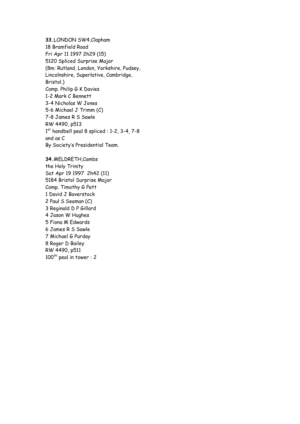**33.**LONDON SW4,Clapham 18 Bramfield Road Fri Apr 11 1997 2h29 (15) 5120 Spliced Surprise Major (8m: Rutland, London, Yorkshire, Pudsey, Lincolnshire, Superlative, Cambridge, Bristol.) Comp. Philip G K Davies 1-2 Mark C Bennett 3-4 Nicholas W Jones 5-6 Michael J Trimm (C) 7-8 James R S Sawle RW 4490, p513  $1<sup>st</sup>$  handbell peal 8 spliced : 1-2, 3-4, 7-8 and as C By Society's Presidential Team.

**34.**MELDRETH,Cambs the Holy Trinity Sat Apr 19 1997 2h42 (11) 5184 Bristol Surprise Major Comp. Timothy G Pett 1 David J Baverstock 2 Paul S Seaman (C) 3 Reginald D P Gillard 4 Jason W Hughes 5 Fiona M Edwards 6 James R S Sawle 7 Michael G Purday 8 Roger D Bailey RW 4490, p511  $100<sup>th</sup>$  peal in tower : 2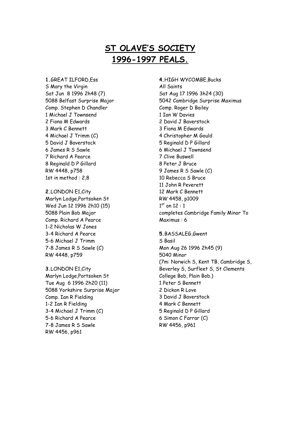# **ST OLAVE'S SOCIETY 1996-1997 PEALS.**

**1.**GREAT ILFORD,Ess S Mary the Virgin Sat Jun 8 1996 2h48 (7) 5088 Belfast Surprise Major Comp. Stephen D Chandler 1 Michael J Townsend 2 Fiona M Edwards 3 Mark C Bennett 4 Michael J Trimm (C) 5 David J Baverstock 6 James R S Sawle 7 Richard A Pearce 8 Reginald D P Gillard RW 4448, p758 1st in method : 2,8

**2.**LONDON E1,City Marlyn Lodge,Portsoken St Wed Jun 12 1996 2h10 (15) 5088 Plain Bob Major Comp. Richard A Pearce 1-2 Nicholas W Jones 3-4 Richard A Pearce 5-6 Michael J Trimm 7-8 James R S Sawle (C) RW 4448, p759

**3.**LONDON E1,City Marlyn Lodge,Portsoken St Tue Aug 6 1996 2h20 (11) 5088 Yorkshire Surprise Major Comp. Ian R Fielding 1-2 Ian R Fielding 3-4 Michael J Trimm (C) 5-6 Richard A Pearce 7-8 James R S Sawle RW 4456, p961

**4.**HIGH WYCOMBE,Bucks All Saints Sat Aug 17 1996 3h24 (30) 5042 Cambridge Surprise Maximus Comp. Roger D Bailey 1 Ian W Davies 2 David J Baverstock 3 Fiona M Edwards 4 Christopher M Gould 5 Reginald D P Gillard 6 Michael J Townsend 7 Clive Buswell 8 Peter J Bruce 9 James R S Sawle (C) 10 Rebecca S Bruce 11 John R Peverett 12 Mark C Bennett RW 4458, p1009  $1<sup>st</sup>$  on 12 : 1 completes Cambridge Family Minor To Maximus : 6

**5.**BASSALEG,Gwent S Basil Mon Aug 26 1996 2h45 (9) 5040 Minor (7m: Norwich S, Kent TB, Cambridge S, Beverley S, Surfleet S, St Clements College Bob, Plain Bob.) 1 Peter S Bennett 2 Dickon R Love 3 David J Baverstock 4 Mark C Bennett 5 Reginald D P Gillard 6 Simon C Farrar (C) RW 4456, p961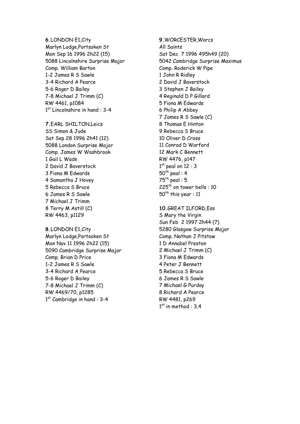**6.**LONDON E1,City Marlyn Lodge,Portsoken St Mon Sep 16 1996 2h22 (15) 5088 Lincolnshire Surprise Major Comp. William Barton 1-2 James R S Sawle 3-4 Richard A Pearce 5-6 Roger D Bailey 7-8 Michael J Trimm (C) RW 4461, p1084 1<sup>st</sup> Lincolnshire in hand : 3-4

**7.**EARL SHILTON,Leics SS Simon & Jude Sat Sep 28 1996 2h41 (12) 5088 London Surprise Major Comp. James W Washbrook 1 Gail L Wade 2 David J Baverstock 3 Fiona M Edwards 4 Samantha J Hovey 5 Rebecca S Bruce 6 James R S Sawle 7 Michael J Trimm 8 Terry M Astill (C) RW 4463, p1129

**8.**LONDON E1,City Marlyn Lodge,Portsoken St Mon Nov 11 1996 2h22 (15) 5090 Cambridge Surprise Major Comp. Brian D Price 1-2 James R S Sawle 3-4 Richard A Pearce 5-6 Roger D Bailey 7-8 Michael J Trimm (C) RW 4469/70, p1285  $1<sup>st</sup>$  Cambridge in hand : 3-4

**9.**WORCESTER,Worcs All Saints Sat Dec 7 1996 495h49 (20) 5042 Cambridge Surprise Maximus Comp. Roderick W Pipe 1 John R Ridley 2 David J Baverstock 3 Stephen J Bailey 4 Reginald D P Gillard 5 Fiona M Edwards 6 Philip A Abbey 7 James R S Sawle (C) 8 Thomas E Hinton 9 Rebecca S Bruce 10 Oliver D Cross 11 Conrad D Warford 12 Mark C Bennett RW 4476, p147  $1<sup>st</sup>$  peal on  $12:3$  $50<sup>th</sup>$  peal : 4  $75<sup>th</sup>$  peal : 5  $225<sup>th</sup>$  on tower bells : 10  $50<sup>th</sup>$  this year : 11

**10.**GREAT ILFORD,Ess S Mary the Virgin Sun Feb 2 1997 2h44 (7) 5280 Glasgow Surprise Major Comp. Nathan J Pitstow 1 D Annabel Preston 2 Michael J Trimm (C) 3 Fiona M Edwards 4 Peter J Bennett 5 Rebecca S Bruce 6 James R S Sawle 7 Michael G Purday 8 Richard A Pearce RW 4481, p269  $1<sup>st</sup>$  in method : 3.4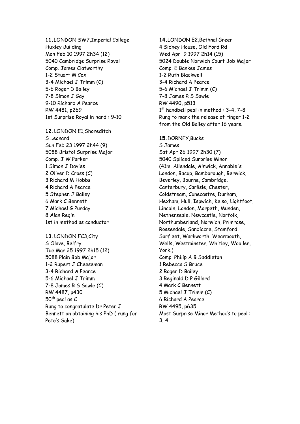**11.**LONDON SW7,Imperial College Huxley Building Mon Feb 10 1997 2h34 (12) 5040 Cambridge Surprise Royal Comp. James Clatworthy 1-2 Stuart M Cox 3-4 Michael J Trimm (C) 5-6 Roger D Bailey 7-8 Simon J Gay 9-10 Richard A Pearce RW 4481, p269 1st Surprise Royal in hand : 9-10

**12.**LONDON E1,Shoreditch S Leonard Sun Feb 23 1997 2h44 (9) 5088 Bristol Surprise Major Comp. J W Parker 1 Simon J Davies 2 Oliver D Cross (C) 3 Richard M Hobbs 4 Richard A Pearce 5 Stephen J Bailey 6 Mark C Bennett 7 Michael G Purday 8 Alan Regin 1st in method as conductor

**13.**LONDON EC3,City S Olave, Belfry Tue Mar 25 1997 2h15 (12) 5088 Plain Bob Major 1-2 Rupert J Cheeseman 3-4 Richard A Pearce 5-6 Michael J Trimm 7-8 James R S Sawle (C) RW 4487, p430  $50<sup>th</sup>$  peal as C Rung to congratulate Dr Peter J Bennett on obtaining his PhD ( rung for Pete's Sake)

**14.**LONDON E2,Bethnal Green 4 Sidney House, Old Ford Rd Wed Apr 9 1997 2h14 (15) 5024 Double Norwich Court Bob Major Comp. E Bankes James 1-2 Ruth Blackwell 3-4 Richard A Pearce 5-6 Michael J Trimm (C) 7-8 James R S Sawle RW 4490, p513  $1<sup>st</sup>$  handbell peal in method : 3-4, 7-8 Rung to mark the release of ringer 1-2 from the Old Bailey after 16 years. **15.**DORNEY,Bucks S James Sat Apr 26 1997 2h30 (7) 5040 Spliced Surprise Minor (41m: Allendale, Alnwick, Annable's London, Bacup, Bamborough, Berwick, Beverley, Bourne, Cambridge, Canterbury, Carlisle, Chester, Coldstream, Cunecastre, Durham, Hexham, Hull, Ispwich, Kelso, Lightfoot, Lincoln, London, Morpeth, Munden, Netherseale, Newcastle, Norfolk, Northumberland, Norwich, Primrose, Rossendale, Sandiacre, Stamford, Surfleet, Warkworth, Wearmouth, Wells, Westminster, Whitley, Wooller, York.) Comp. Philip A B Saddleton 1 Rebecca S Bruce 2 Roger D Bailey 3 Reginald D P Gillard 4 Mark C Bennett 5 Michael J Trimm (C) 6 Richard A Pearce RW 4495, p635 Most Surprise Minor Methods to peal : 3, 4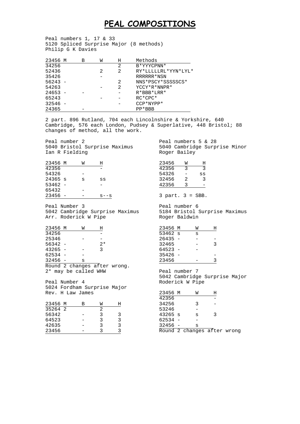### **PEAL COMPOSITIONS**

Peal numbers 1, 17 & 33 5120 Spliced Surprise Major (8 methods) Philip G K Davies

| 23456 M   | В | W | Н | Methods             |
|-----------|---|---|---|---------------------|
| 34256     |   |   | 2 | B*YYYCPNN*          |
| 52436     |   | 2 | 2 | RY*LLLLLRL*YYN*LYL* |
| 35426     |   |   |   | RRRRRR*NSN          |
| $56243 -$ |   |   | 2 | NNS*PSCY*SSSSSSCS*  |
| 54263     |   |   | 2 | YCCY * R * NNPR *   |
| $24653 -$ |   |   |   | $R*BBB*LRR*$        |
| 65243     |   |   |   | $RC*CPC*$           |
| 32546     |   |   |   | CCP*NYPP*           |
| 24365     |   |   |   | $PP*BBB$            |

2 part. 896 Rutland, 704 each Lincolnshire & Yorkshire, 640 Cambridge, 576 each London, Pudsey & Superlative, 448 Bristol; 88 changes of method, all the work.

Peal number 2 5040 Bristol Surprise Maximus Ian R Fielding

Peal numbers 5 & 28 5040 Cambridge Surprise Minor Roger Bailey

5184 Bristol Surprise Maximus

| 23456 M   | M | H        |
|-----------|---|----------|
| 42356     |   |          |
| 54326     |   |          |
| $24365$ s | s | SS       |
| 53462     |   |          |
| 65432     |   |          |
| 23456     |   | $S = -S$ |

Peal Number 3 5042 Cambridge Surprise Maximus Arr. Roderick W Pipe

| 23456 M   | M                            | н    |  |
|-----------|------------------------------|------|--|
| 34256     |                              |      |  |
| 25346     |                              |      |  |
| $56342 -$ |                              | $2*$ |  |
| $43265 -$ |                              | 3    |  |
| $62534 -$ |                              |      |  |
| $32456 -$ | S                            |      |  |
|           | Round 2 changes after wrong. |      |  |
|           | 2* may be called WHW         |      |  |

Peal Number 4 5024 Fordham Surprise Major Rev. H Law James

| 23456 M | R | W |   |
|---------|---|---|---|
| 35264 2 |   | 2 |   |
| 56342   |   | κ | 3 |
| 64523   |   | 3 | 3 |
| 42635   |   | κ | ς |
| 23456   |   | ર |   |

| Roger Baldwin |   |   |
|---------------|---|---|
| 23456 M       | W | н |
| 53462 s       | S |   |
| 26435         |   |   |
| 32465         |   | ς |
| 64523         |   |   |
| 35426         |   |   |
| 23456         |   |   |

 $\frac{23456}{42356}$  W H  $\frac{42356}{54326}$  3  $54326 -$  ss<br>32456 2 3 32456 2<br>42356 3 42356 3 -

3 part. 3 = SBB.

Peal number 6

Peal number 7 5042 Cambridge Surprise Major Roderick W Pipe

| 23456 M   | W                           | Η  |  |
|-----------|-----------------------------|----|--|
| 42356     |                             |    |  |
| 34256     | ्र                          |    |  |
| 53246     |                             |    |  |
| 43265 s   | S                           | ्र |  |
| $62534 -$ |                             |    |  |
| $32456 -$ | S                           |    |  |
|           | Round 2 changes after wrong |    |  |
|           |                             |    |  |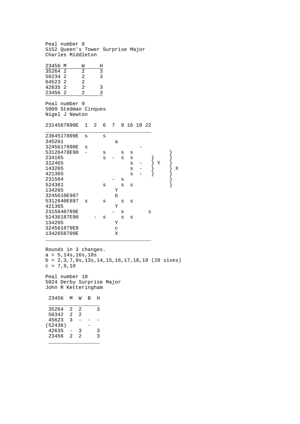Peal number 8 5152 Queen's Tower Surprise Major Charles Middleton  $\frac{23456 \text{ M}}{35264 \text{ 2}}$   $\frac{\text{W}}{2}$   $\frac{\text{H}}{3}$  $\frac{35264}{56234}$  2 2 3 56234 2<br>64523 2 2 64523 2 2 42635 2 2 3<br>23456 2 2 3 23456 2 Peal number 9 5009 Stedman Cinques Nigel J Newton 2314567890E 1 2 6 7 9 16 18 22 \_\_\_\_\_\_\_\_\_\_\_\_\_\_\_\_\_\_\_\_\_\_\_\_\_\_\_\_\_\_\_\_\_\_\_ 2364517809E s s 345261 a 3245617890E s - 53126478E90 - s s s }  $234165$  s - s s }<br>312465 s - }  $Y$  $312465$  s -  $\begin{matrix} 3 & -2 \ 1 & 43265 \end{matrix}$ 143265 s -  $\begin{array}{ccc} 1 & 3 & 3 & 5 \\ 4 & 2 & 13 & 65 \end{array}$  s -  $\begin{array}{ccc} 3 & 3 & 3 \\ 3 & 5 & 3 \end{array}$  x 421365 231564 - s  $524361$  s s s<br>134265 Y 134265<br>3245610E987 b 3245610E987 b 5312640E897 s s s s<br>421365 Y 421365 2315640789E - s s 52436187E90 - s s s 134265 Y 324561879E0 c<br>1342658709E X 1342658709E X \_\_\_\_\_\_\_\_\_\_\_\_\_\_\_\_\_\_\_\_\_\_\_\_\_\_\_\_\_\_\_\_\_\_\_

Rounds in 3 changes.  $a = 5,14s,16s,18s$ b = 2,3,7,9s,13s,14,15,16,17,18,19 (20 sixes)  $c = 7, 9, 10$ 

Peal number 10 5024 Derby Surprise Major John R Ketteringham

| 23456   | м | M | R | н |
|---------|---|---|---|---|
| 35264   | 2 | 2 |   | ર |
| 56342   | 2 | 2 |   |   |
| 45623   | 3 |   |   |   |
| (52436) |   |   |   |   |
| 42635   |   | 3 |   | 3 |
| 23456   | 2 | 2 |   | ς |
|         |   |   |   |   |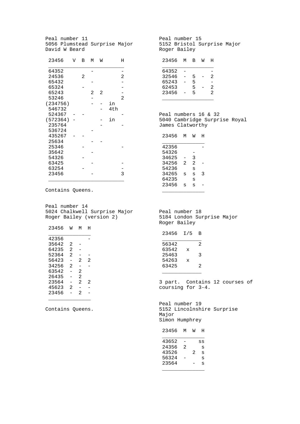Peal number 11 5056 Plumstead Surprise Major David W Beard 23456 V B M W H  $\overline{\phantom{a}}$  , where  $\overline{\phantom{a}}$  , where  $\overline{\phantom{a}}$  , where  $\overline{\phantom{a}}$  64352 - - 24536 2 2 65432 - -  $65324$  -<br> $65243$  - 2 2 - $\begin{array}{ccc} 2 & 2 & - \\ - & 2 & \end{array}$ 53246 -<br>(234756) - - in (234756)<br>546732 - 4th 524367 - -<br>(572364) - - in  $(572364)$  -  $-$ <br>235764 - $235764$  - - 536724 - 435267 - -  $25634 - 25346 -$ 35642 54326  $63425$  - -<br>63254 - - 63254 - - 23456  $\frac{1}{2}$  ,  $\frac{1}{2}$  ,  $\frac{1}{2}$  ,  $\frac{1}{2}$  ,  $\frac{1}{2}$  ,  $\frac{1}{2}$  ,  $\frac{1}{2}$  ,  $\frac{1}{2}$  ,  $\frac{1}{2}$  ,  $\frac{1}{2}$  ,  $\frac{1}{2}$  ,  $\frac{1}{2}$  ,  $\frac{1}{2}$  ,  $\frac{1}{2}$  ,  $\frac{1}{2}$  ,  $\frac{1}{2}$  ,  $\frac{1}{2}$  ,  $\frac{1}{2}$  ,  $\frac{1$ 

Contains Queens.

Peal number 14 5024 Chalkwell Surprise Major Roger Bailey (version 2)

| 23456 | W              | м              | н |
|-------|----------------|----------------|---|
| 42356 |                |                |   |
| 35642 | 2              |                |   |
| 64235 | 2              |                |   |
| 52364 | $\mathfrak{D}$ |                |   |
| 56423 |                | 2              | 2 |
| 34256 | 2              |                |   |
| 63542 |                | 2              |   |
| 26435 |                | $\mathfrak{D}$ |   |
| 23564 |                | $\mathfrak{D}$ | 2 |
| 45623 | 2              |                |   |
| 23456 |                | 2              |   |

Contains Queens.

 $\overline{\phantom{a}}$  , where the contract of the contract of  $\overline{\phantom{a}}$ 

Peal number 15 5152 Bristol Surprise Major Roger Bailey

| 23456 | м | в | M | н |
|-------|---|---|---|---|
| 64352 |   |   |   |   |
| 32546 |   | 5 |   | 2 |
| 65243 |   | 5 |   |   |
| 62453 |   | 5 |   | 2 |
| 23456 |   | 5 |   | 2 |
|       |   |   |   |   |

Peal numbers 16 & 32 5040 Cambridge Surprise Royal James Clatworthy

| 23456 | м | M | H |
|-------|---|---|---|
| 42356 |   |   |   |
| 54326 |   |   |   |
| 34625 |   | 3 |   |
| 34256 | 2 | 2 |   |
| 54236 |   | S |   |
| 34265 | S | S | ર |
| 64235 |   | S |   |
| 23456 | s | s |   |
|       |   |   |   |

Peal number 18 5184 London Surprise Major Roger Bailey

| 23456 | I/5 | в |
|-------|-----|---|
| 56342 |     | 2 |
| 63542 | X   |   |
| 25463 |     | 3 |
| 54263 | X   |   |
| 63425 |     | 2 |
|       |     |   |

3 part. Contains 12 courses of coursing for 3-4.

Peal number 19 5152 Lincolnshire Surprise Major Simon Humphrey

| 23456 | м | M | н  |
|-------|---|---|----|
|       |   |   |    |
| 43652 |   |   | SS |
| 24356 | 2 |   | S  |
| 43526 |   | 2 | S  |
| 56324 |   |   | S  |
| 23564 |   |   | S  |
|       |   |   |    |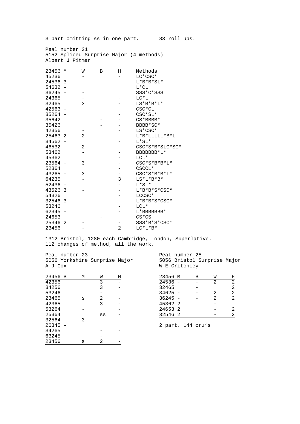3 part omitting ss in one part. 83 roll ups.

Peal number 21 5152 Spliced Surprise Major (4 methods) Albert J Pitman

| 23456 M   |   | W | В | Н | Methods         |
|-----------|---|---|---|---|-----------------|
| 45236     |   |   |   |   | LC*CSC*         |
| 24536 3   |   |   |   |   | $L*B*B*SL*$     |
| $54632 -$ |   |   |   |   | $L*CL$          |
| 36245     |   |   |   |   | SSS*C*SSS       |
| 24365     |   |   |   |   | $LC*L$          |
| 32465     |   | 3 |   |   | $L S* B* B*L*$  |
| 42563     |   |   |   |   | $CSC*CL$        |
| 35264     |   |   |   |   | $CSC*SL*$       |
| 35642     |   |   |   |   | $CS*BBBB*$      |
| 35426     |   |   |   |   | BBBB*SC*        |
| 42356     |   |   |   |   | LS*CSC*         |
| 25463 2   |   | 2 |   |   | $L*B*LLLLL*B*L$ |
| 34562     |   |   |   |   | $L*SL*$         |
| 46532     |   | 2 |   |   | CSC*S*B*SLC*SC* |
| 53462     |   |   |   |   | BBBBBBB*L*      |
| 45362     |   |   |   |   | $LCL*$          |
| 23564     |   | 3 |   |   | $CSC*S*B*B*L*$  |
| 52364     |   |   |   |   | CSCCL*          |
| 43265     |   | 3 |   |   | $CSC*S*B*B*L*$  |
| 64235     |   |   |   | 3 | $LS^*L^*B^*B^*$ |
| 52436     |   |   |   |   | $L*SL*$         |
| 43526 3   |   |   |   |   | $L*B*B*S*CSC*$  |
| 54326     |   |   |   |   | LCCSC*          |
| 32546     | 3 |   |   |   | L*B*B*S*CSC*    |
| 53246     |   |   |   |   | $LCL*$          |
| 62345     |   |   |   |   | L*BBBBBBB*      |
| 24653     |   |   |   |   | $CS*CS$         |
| 25346     | 2 |   |   |   | SSS*B*S*CSC*    |
| 23456     |   |   |   | 2 | $LC*L*B*$       |

1312 Bristol, 1280 each Cambridge, London, Superlative. 112 changes of method, all the work.

| A J Cox | Peal number 23 |   | 5056 Yorkshire Surprise Major |   |
|---------|----------------|---|-------------------------------|---|
| 23456   | - B            | М | W                             | Н |
| 42356   |                |   | 3                             |   |
| 34256   |                |   | 3                             |   |
| 53246   |                |   |                               |   |
| 23465   |                | S | 2                             |   |
| 42365   |                |   | 3                             |   |
| 53264   |                |   |                               |   |
| 25364   |                |   | SS                            |   |
| 32564   |                | 3 |                               |   |
| 26345   |                |   |                               |   |
| 34265   |                |   |                               |   |
| 63245   |                |   |                               |   |
| 23456   |                | s | 2                             |   |

Peal number 25 5056 Bristol Surprise Major W E Critchley

| 23456 M   | В | W              | Н              |
|-----------|---|----------------|----------------|
| $24536 -$ |   | $\mathfrak{D}$ | $\overline{2}$ |
| 32465     |   |                | $\overline{2}$ |
| $34625 -$ |   | $\mathfrak{D}$ | 2              |
| $36245 -$ |   | $\mathfrak{D}$ | 2              |
| 45362 2   |   |                |                |
| 24653 2   |   |                | 2              |
| 32546 2   |   |                | $\overline{2}$ |

2 part. 144 cru's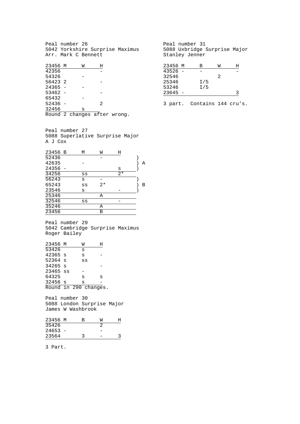Peal number 26 5042 Yorkshire Surprise Maximus Arr. Mark C Bennett

| 23456 M   | W                            | Ħ |  |
|-----------|------------------------------|---|--|
| 42356     |                              |   |  |
| 54326     |                              |   |  |
| 56423 2   |                              |   |  |
| $24365 -$ |                              |   |  |
| $53462 -$ |                              |   |  |
| 65432     |                              |   |  |
| $52436 -$ |                              | 2 |  |
| 32456     | s                            |   |  |
|           | Round 2 changes after wrong. |   |  |

Peal number 27 5088 Superlative Surprise Major A J Cox

| 23456 B | М  | W    | Η    |   |
|---------|----|------|------|---|
| 52436   |    |      |      |   |
| 42635   |    |      |      | А |
| 24356   |    |      | S    |   |
| 34256   | SS |      | $2*$ |   |
| 56243   | S  |      |      |   |
| 65243   | SS | $2*$ |      | В |
| 23546   | S  |      |      |   |
| 25346   |    | Α    |      |   |
| 32546   | SS |      |      |   |
| 35246   |    | Α    |      |   |
| 23456   |    | В    |      |   |
|         |    |      |      |   |

Peal number 29 5042 Cambridge Surprise Maximus Roger Bailey

| 23456 M               |  | W  | Η |
|-----------------------|--|----|---|
| 53426                 |  | S  |   |
| 42365 s               |  | S  |   |
| 52364 s               |  | SS |   |
| $34265$ s             |  |    |   |
| 23465 ss              |  |    |   |
| 64325                 |  | S  | S |
| 32456 s               |  | S  |   |
| Round in 290 changes. |  |    |   |
|                       |  |    |   |

Peal number 30 5088 London Surprise Major James W Washbrook

| 23456 M   | R | W |  |
|-----------|---|---|--|
| 35426     |   |   |  |
| $24653 -$ |   |   |  |
| 23564     |   |   |  |

3 Part.

Peal number 31 5088 Uxbridge Surprise Major Stanley Jenner

| 23456 M | в   | W | H |
|---------|-----|---|---|
| 43526   |     |   |   |
| 32546   |     | 2 |   |
| 25346   | I/5 |   |   |
| 53246   | I/5 |   |   |
| 23645   |     |   | ર |

3 part. Contains 144 cru's.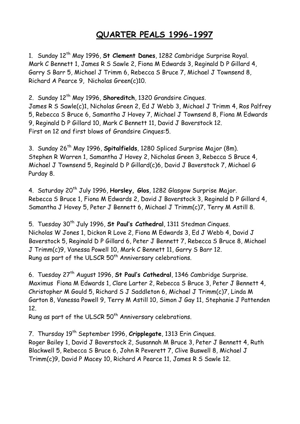# **QUARTER PEALS 1996-1997**

1. Sunday 12th May 1996, **St Clement Danes**, 1282 Cambridge Surprise Royal. Mark C Bennett 1, James R S Sawle 2, Fiona M Edwards 3, Reginald D P Gillard 4, Garry S Barr 5, Michael J Trimm 6, Rebecca S Bruce 7, Michael J Townsend 8, Richard A Pearce 9, Nicholas Green(c)10.

2. Sunday 12th May 1996, **Shoreditch**, 1320 Grandsire Cinques.

James R S Sawle(c)1, Nicholas Green 2, Ed J Webb 3, Michael J Trimm 4, Ros Palfrey 5, Rebecca S Bruce 6, Samantha J Hovey 7, Michael J Townsend 8, Fiona M Edwards 9, Reginald D P Gillard 10, Mark C Bennett 11, David J Baverstock 12. First on 12 and first blows of Grandsire Cinques:5.

3. Sunday 26th May 1996, **Spitalfields**, 1280 Spliced Surprise Major (8m). Stephen R Warren 1, Samantha J Hovey 2, Nicholas Green 3, Rebecca S Bruce 4, Michael J Townsend 5, Reginald D P Gillard(c)6, David J Baverstock 7, Michael G Purday 8.

4. Saturday 20<sup>th</sup> July 1996, **Horsley, Glos**, 1282 Glasgow Surprise Major. Rebecca S Bruce 1, Fiona M Edwards 2, David J Baverstock 3, Reginald D P Gillard 4, Samantha J Hovey 5, Peter J Bennett 6, Michael J Trimm(c)7, Terry M Astill 8.

5. Tuesday 30th July 1996, **St Paul's Cathedral**, 1311 Stedman Cinques. Nicholas W Jones 1, Dickon R Love 2, Fiona M Edwards 3, Ed J Webb 4, David J Baverstock 5, Reginald D P Gillard 6, Peter J Bennett 7, Rebecca S Bruce 8, Michael J Trimm(c)9, Vanessa Powell 10, Mark C Bennett 11, Garry S Barr 12. Rung as part of the ULSCR 50<sup>th</sup> Anniversary celebrations.

6. Tuesday 27th August 1996, **St Paul's Cathedral**, 1346 Cambridge Surprise. Maximus Fiona M Edwards 1, Clare Larter 2, Rebecca S Bruce 3, Peter J Bennett 4, Christopher M Gould 5, Richard S J Saddleton 6, Michael J Trimm(c)7, Linda M Garton 8, Vanessa Powell 9, Terry M Astill 10, Simon J Gay 11, Stephanie J Pattenden 12.

Rung as part of the ULSCR 50<sup>th</sup> Anniversary celebrations.

7. Thursday 19th September 1996, **Cripplegate**, 1313 Erin Cinques. Roger Bailey 1, David J Baverstock 2, Susannah M Bruce 3, Peter J Bennett 4, Ruth Blackwell 5, Rebecca S Bruce 6, John R Peverett 7, Clive Buswell 8, Michael J Trimm(c)9, David P Macey 10, Richard A Pearce 11, James R S Sawle 12.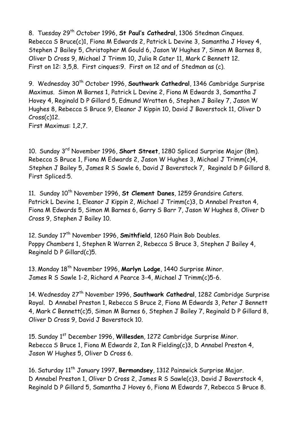8. Tuesday 29<sup>th</sup> October 1996, St Paul's Cathedral, 1306 Stedman Cinques. Rebecca S Bruce(c)1, Fiona M Edwards 2, Patrick L Devine 3, Samantha J Hovey 4, Stephen J Bailey 5, Christopher M Gould 6, Jason W Hughes 7, Simon M Barnes 8, Oliver D Cross 9, Michael J Trimm 10, Julia R Cater 11, Mark C Bennett 12. First on 12: 3,5,8. First cinques:9. First on 12 and of Stedman as (c).

9. Wednesday 30th October 1996, **Southwark Cathedral**, 1346 Cambridge Surprise Maximus. Simon M Barnes 1, Patrick L Devine 2, Fiona M Edwards 3, Samantha J Hovey 4, Reginald D P Gillard 5, Edmund Wratten 6, Stephen J Bailey 7, Jason W Hughes 8, Rebecca S Bruce 9, Eleanor J Kippin 10, David J Baverstock 11, Oliver D Cross(c)12. First Maximus: 1,2,7.

10. Sunday 3rd November 1996, **Short Street**, 1280 Spliced Surprise Major (8m). Rebecca S Bruce 1, Fiona M Edwards 2, Jason W Hughes 3, Michael J Trimm(c)4, Stephen J Bailey 5, James R S Sawle 6, David J Baverstock 7, Reginald D P Gillard 8. First Spliced:5.

11. Sunday 10<sup>th</sup> November 1996, St Clement Danes, 1259 Grandsire Caters. Patrick L Devine 1, Eleanor J Kippin 2, Michael J Trimm(c)3, D Annabel Preston 4, Fiona M Edwards 5, Simon M Barnes 6, Garry S Barr 7, Jason W Hughes 8, Oliver D Cross 9, Stephen J Bailey 10.

12. Sunday 17th November 1996, **Smithfield**, 1260 Plain Bob Doubles. Poppy Chambers 1, Stephen R Warren 2, Rebecca S Bruce 3, Stephen J Bailey 4, Reginald D P Gillard(c)5.

13. Monday 18th November 1996, **Marlyn Lodge**, 1440 Surprise Minor. James R S Sawle 1-2, Richard A Pearce 3-4, Michael J Trimm(c)5-6.

14. Wednesday 27th November 1996, **Southwark Cathedral**, 1282 Cambridge Surprise Royal. D Annabel Preston 1, Rebecca S Bruce 2, Fiona M Edwards 3, Peter J Bennett 4, Mark C Bennett(c)5, Simon M Barnes 6, Stephen J Bailey 7, Reginald D P Gillard 8, Oliver D Cross 9, David J Baverstock 10.

15. Sunday 1st December 1996, **Willesden**, 1272 Cambridge Surprise Minor. Rebecca S Bruce 1, Fiona M Edwards 2, Ian R Fielding(c)3, D Annabel Preston 4, Jason W Hughes 5, Oliver D Cross 6.

16. Saturday 11th January 1997, **Bermondsey**, 1312 Painswick Surprise Major. D Annabel Preston 1, Oliver D Cross 2, James R S Sawle(c)3, David J Baverstock 4, Reginald D P Gillard 5, Samantha J Hovey 6, Fiona M Edwards 7, Rebecca S Bruce 8.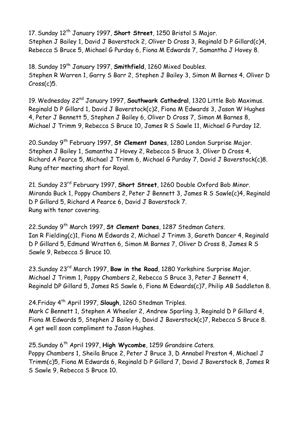17. Sunday 12th January 1997, **Short Street**, 1250 Bristol S Major. Stephen J Bailey 1, David J Baverstock 2, Oliver D Cross 3, Reginald D P Gillard(c)4, Rebecca S Bruce 5, Michael G Purday 6, Fiona M Edwards 7, Samantha J Hovey 8.

18. Sunday 19th January 1997, **Smithfield**, 1260 Mixed Doubles. Stephen R Warren 1, Garry S Barr 2, Stephen J Bailey 3, Simon M Barnes 4, Oliver D Cross(c)5.

19. Wednesday 22nd January 1997, **Southwark Cathedral**, 1320 Little Bob Maximus. Reginald D P Gillard 1, David J Baverstock(c)2, Fiona M Edwards 3, Jason W Hughes 4, Peter J Bennett 5, Stephen J Bailey 6, Oliver D Cross 7, Simon M Barnes 8, Michael J Trimm 9, Rebecca S Bruce 10, James R S Sawle 11, Michael G Purday 12.

20.Sunday 9th February 1997, **St Clement Danes**, 1280 London Surprise Major. Stephen J Bailey 1, Samantha J Hovey 2, Rebecca S Bruce 3, Oliver D Cross 4, Richard A Pearce 5, Michael J Trimm 6, Michael G Purday 7, David J Baverstock(c)8. Rung after meeting short for Royal.

21. Sunday 23rd February 1997, **Short Street**, 1260 Double Oxford Bob Minor. Miranda Buck 1, Poppy Chambers 2, Peter J Bennett 3, James R S Sawle(c)4, Reginald D P Gillard 5, Richard A Pearce 6, David J Baverstock 7. Rung with tenor covering.

22.Sunday 9th March 1997, **St Clement Danes**, 1287 Stedman Caters. Ian R Fielding(c)1, Fiona M Edwards 2, Michael J Trimm 3, Gareth Dancer 4, Reginald D P Gillard 5, Edmund Wratten 6, Simon M Barnes 7, Oliver D Cross 8, James R S Sawle 9, Rebecca S Bruce 10.

23.Sunday 23rd March 1997, **Bow in the Road**, 1280 Yorkshire Surprise Major. Michael J Trimm 1, Poppy Chambers 2, Rebecca S Bruce 3, Peter J Bennett 4, Reginald DP Gillard 5, James RS Sawle 6, Fiona M Edwards(c)7, Philip AB Saddleton 8.

24.Friday 4th April 1997, **Slough**, 1260 Stedman Triples.

Mark C Bennett 1, Stephen A Wheeler 2, Andrew Sparling 3, Reginald D P Gillard 4, Fiona M Edwards 5, Stephen J Bailey 6, David J Baverstock(c)7, Rebecca S Bruce 8. A get well soon compliment to Jason Hughes.

25.Sunday 6th April 1997, **High Wycombe**, 1259 Grandsire Caters. Poppy Chambers 1, Sheila Bruce 2, Peter J Bruce 3, D Annabel Preston 4, Michael J Trimm(c)5, Fiona M Edwards 6, Reginald D P Gillard 7, David J Baverstock 8, James R S Sawle 9, Rebecca S Bruce 10.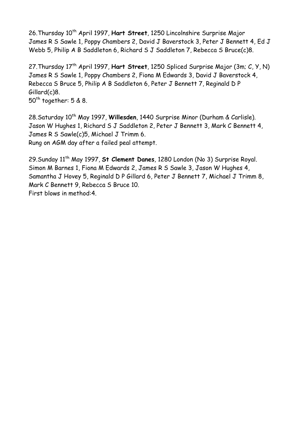26. Thursday 10<sup>th</sup> April 1997, Hart Street, 1250 Lincolnshire Surprise Major James R S Sawle 1, Poppy Chambers 2, David J Baverstock 3, Peter J Bennett 4, Ed J Webb 5, Philip A B Saddleton 6, Richard S J Saddleton 7, Rebecca S Bruce(c)8.

27.Thursday 17th April 1997, **Hart Street**, 1250 Spliced Surprise Major (3m; C, Y, N) James R S Sawle 1, Poppy Chambers 2, Fiona M Edwards 3, David J Baverstock 4, Rebecca S Bruce 5, Philip A B Saddleton 6, Peter J Bennett 7, Reginald D P Gillard(c)8.  $50<sup>th</sup>$  together:  $5 & 8$ .

28.Saturday 10<sup>th</sup> May 1997, Willesden, 1440 Surprise Minor (Durham & Carlisle). Jason W Hughes 1, Richard S J Saddleton 2, Peter J Bennett 3, Mark C Bennett 4, James R S Sawle(c)5, Michael J Trimm 6. Rung on AGM day after a failed peal attempt.

29.Sunday 11th May 1997, **St Clement Danes**, 1280 London (No 3) Surprise Royal. Simon M Barnes 1, Fiona M Edwards 2, James R S Sawle 3, Jason W Hughes 4, Samantha J Hovey 5, Reginald D P Gillard 6, Peter J Bennett 7, Michael J Trimm 8, Mark C Bennett 9, Rebecca S Bruce 10. First blows in method:4.